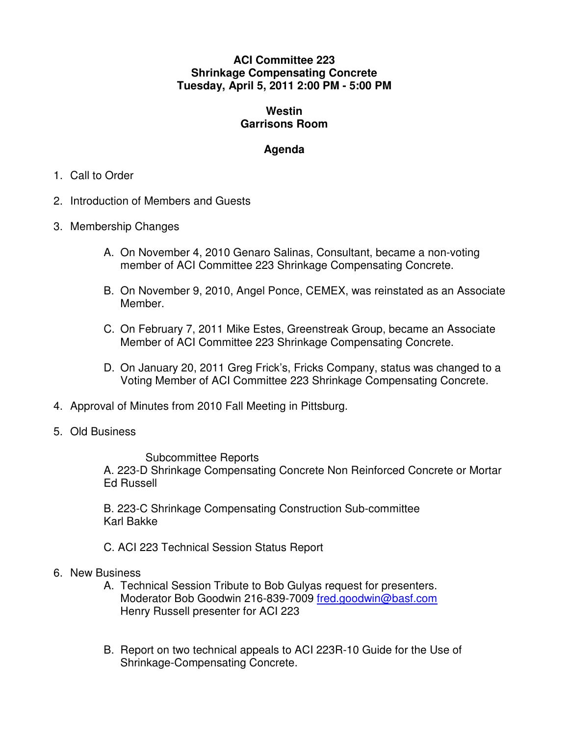## **ACI Committee 223 Shrinkage Compensating Concrete Tuesday, April 5, 2011 2:00 PM - 5:00 PM**

## **Westin Garrisons Room**

## **Agenda**

- 1. Call to Order
- 2. Introduction of Members and Guests
- 3. Membership Changes
	- A. On November 4, 2010 Genaro Salinas, Consultant, became a non-voting member of ACI Committee 223 Shrinkage Compensating Concrete.
	- B. On November 9, 2010, Angel Ponce, CEMEX, was reinstated as an Associate Member.
	- C. On February 7, 2011 Mike Estes, Greenstreak Group, became an Associate Member of ACI Committee 223 Shrinkage Compensating Concrete.
	- D. On January 20, 2011 Greg Frick's, Fricks Company, status was changed to a Voting Member of ACI Committee 223 Shrinkage Compensating Concrete.
- 4. Approval of Minutes from 2010 Fall Meeting in Pittsburg.
- 5. Old Business

Subcommittee Reports

A. 223-D Shrinkage Compensating Concrete Non Reinforced Concrete or Mortar Ed Russell

B. 223-C Shrinkage Compensating Construction Sub-committee Karl Bakke

C. ACI 223 Technical Session Status Report

- 6. New Business
	- A. Technical Session Tribute to Bob Gulyas request for presenters. Moderator Bob Goodwin 216-839-7009 fred.goodwin@basf.com Henry Russell presenter for ACI 223
	- B. Report on two technical appeals to ACI 223R-10 Guide for the Use of Shrinkage-Compensating Concrete.